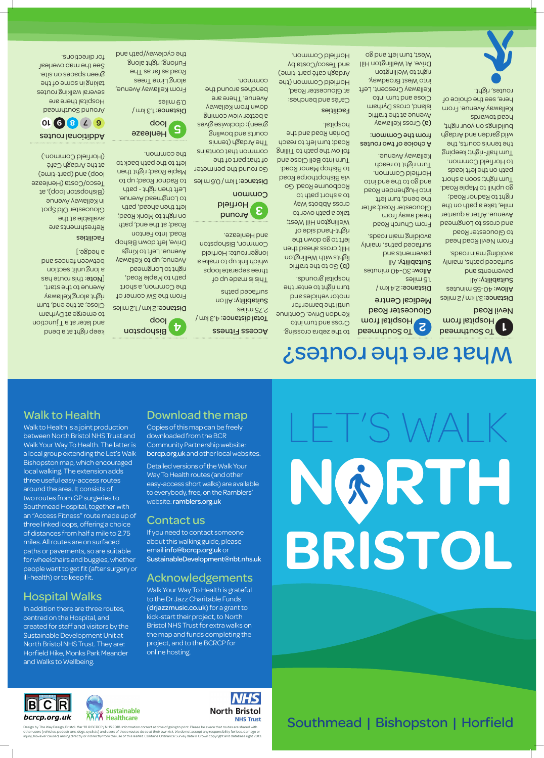Walk to Health

Walk to Health is a joint production between North Bristol NHS Trust and Walk Your Way To Health. The latter is a local group extending the Let's Walk

#### Bishopston map, which encouraged local walking. The extension adds three useful easy-access routes around the area. It consists of two routes from GP surgeries to Southmead Hospital, together with an "Access Fitness" route made up of three linked loops, offering a choice of distances from half a mile to 2.75 miles. All routes are on surfaced paths or pavements, so are suitable

for wheelchairs and buggies, whether people want to get fit (after surgery or ill-health) or to keep fit.

#### Hospital Walks

In addition there are three routes, centred on the Hospital, and created for staff and visitors by the Sustainable Development Unit at North Bristol NHS Trust. They are: Horfield Hike, Monks Park Meander and Walks to Wellbeing.

**1** Desmital from Hospital from Nevil Road

Distance: 3.1 km / 2 miles Allow: 40-55 minutes  $||A:$ ytilidstiu $\mathcal{E}$ pue sauemented surfaced paths, mainly avoiding main roads.

#### Download the map

#### Copies of this map can be freely downloaded from the BCR

Community Partnership website: bcrcp.org.uk and other local websites.

Detailed versions of the Walk Your Way To Health routes (and other easy-access short walks) are available to everybody, free, on the Ramblers'

website: ramblers.org.uk

Contact us

If you need to contact someone about this walking guide, please email info@bcrcp.org.uk or

SustainableDevelopment@nbt.nhs.uk

**2 C**<br>**2** Exemple to Discrep to Apple to Apple to Apple to Apple to Apple to Apple to Apple to Apple to Apple to Apple to Apple to Apple to Apple to Apple to Apple to Apple to Apple to Apple to Apple to Apple to Apple to Hospital from Gloucester Road Medical Centre to the zebra crossing. Cross and turn into Kendon Drive. Continue until the barrier for motor vehicles and

Distance: 2.4 km /

Acknowledgements Walk Your Way To Health is grateful to the Dr Jazz Charitable Funds (drjazzmusic.co.uk) for a grant to kick-start their project, to North Bristol NHS Trust for extra walks on the map and funds completing the project, and to the BCRCP for online hosting.

#### $\mathbf{C}$ **Sustainable AAAA** Healthcare bcrcp.org.uk



three separate loops which link up to make a longer route: Horfield Common, Bishopston

**<sup>3</sup>** Around Horfield

**Common** Distance: 1 km / 0.6 miles

From Nevil Road head to Gloucester Road and cross to Longmead Avenue. After a quarter mile, take a path on the right to Radnor Road; go uphill to Maple Road. Turn right; soon a short path on the left leads to Horfield Common. Turn half-right; keeping the tennis courts, the wild garden and Ardagh buildings on your right, head towards Kellaway Avenue. From

uotsdousig<sup>t</sup> loop

Distance: 2 km / 1.2 miles From the SW corner of here, see the choice of routes, right.

1.5 miles 30-40 minutes Allow:  $||A:$ ytilid $\sin 2$ pue sauemented surfaced paths, mainly avoiding main roads.

From Church Road head away from Gloucester Road; after the bend, turn left into Hughenden Road and go to the end into Horfield Common. Turn right to reach Kellaway Avenue.

A choice of two routes from the Common:

 Cross Kellaway (a) Avenue at the traffic island, cross Dyrham Close and turn into Kellaway Crescent. Left into West Broadway, right to Wellington Drive. At Wellington Hill

West, turn left and go

#### Facilities

# FT'S WA **BRISTOL N RTH**

turn right to enter the hospital grounds. Go to the traffic lights with Wellington Hill; cross ahead then left to go down the right-hand side of Wellington Hill West; take a path over to cross Abbots Way to a short path to Rodbourne Road. Go via Bishopthorpe Road to Bishop Manor Road. Turn into Bell Close and follow the path to Tilling Road; turn left to reach Dorian Road and the

hospital.

#### Access Fitness

 $10.3 \times 10^{-3}$  km / 2.75 miles  $\log \frac{|\mathcal{A}|}{\mathcal{A}}$  :  $\gamma$ ilidatiu $\mathcal{A}$ sutaced pachtres This is no due been also

Cafés and benches: at Gloucester Road, Horfield Common (the Ardagh café part-time) and Tesco/Costa by Horfield Common. common.

and Henleaze.

Go round the perimeter common that contains green); clockwise gives a better view coming

#### of that part of the The Ardagh (tennis courts and bowling down from Kellaway Avenue. There are benches around the

path to Maple Road, right to Longmead

the Common, a short Avenue, up to Kellaway Avenue. Left to Kings Drive, left down Bishop Road. Into Fenton Road; at the end, path on right to Monk Road; left then ahead, path to Longmead Avenue. Left then right - path to Radnor Road; up to

Maple Road; right then left to the path back to

the common.

**<sup>5</sup>** Henleaze

loop

Distance: 1.3 km /

0.9 miles

From Kellaway Avenue, along Lime Trees Road as far as The Furlong; right along the cycleway/path and

keep right at a bend

and later at a T junction to emerge at Dyrham Close; at the end, turn right along Kellaway Avenue to the start. [Note: this route has a long unlit section between fences and a hedge.] **Facilities** Refreshments are

available at the

Gloucester Old Spot

#### in Kellaway Avenue (Bishopston loop), at Tesco/Costa (Henleaze loop) and (part-time) at the Ardagh Café (Horfield Common.)

#### Additional routes

**<sup>6</sup> <sup>7</sup> <sup>8</sup> <sup>9</sup> <sup>10</sup>** bsemidiuo2 bnuotA Hospital there are several walking routes taking in some of the green spaces on site. See the map overleaf for directions.

## What are the routes?

Design by The Way Design, Bristol. Mar '18 © BCRCP / NHS 2018. Information correct at time of going to print. Please be aware that routes are shared with other users (vehicles, pedestrians, dogs, cyclists) and users of these routes do so at their own risk. We do not accept any responsibility for loss, damage or injury, however caused, arising directly or indirectly from the use of this leaflet. Contains Ordnance Survey data © Crown copyright and database right 2013.

### Southmead | Bishopston | Horfield